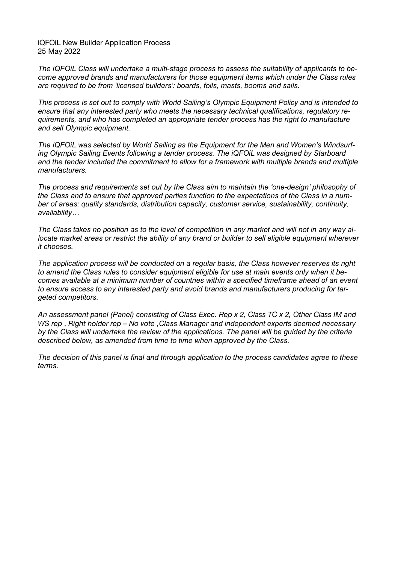iQFOiL New Builder Application Process 25 May 2022

*The iQFOiL Class will undertake a multi-stage process to assess the suitability of applicants to become approved brands and manufacturers for those equipment items which under the Class rules are required to be from 'licensed builders': boards, foils, masts, booms and sails.*

*This process is set out to comply with World Sailing's Olympic Equipment Policy and is intended to ensure that any interested party who meets the necessary technical qualifications, regulatory requirements, and who has completed an appropriate tender process has the right to manufacture and sell Olympic equipment.*

*The iQFOiL was selected by World Sailing as the Equipment for the Men and Women's Windsurfing Olympic Sailing Events following a tender process. The iQFOiL was designed by Starboard and the tender included the commitment to allow for a framework with multiple brands and multiple manufacturers.*

*The process and requirements set out by the Class aim to maintain the 'one-design' philosophy of the Class and to ensure that approved parties function to the expectations of the Class in a number of areas: quality standards, distribution capacity, customer service, sustainability, continuity, availability…*

The Class takes no position as to the level of competition in any market and will not in any way al*locate market areas or restrict the ability of any brand or builder to sell eligible equipment wherever it chooses.*

*The application process will be conducted on a regular basis, the Class however reserves its right to amend the Class rules to consider equipment eligible for use at main events only when it becomes available at a minimum number of countries within a specified timeframe ahead of an event to ensure access to any interested party and avoid brands and manufacturers producing for targeted competitors.*

An assessment panel (Panel) consisting of Class Exec. Rep x 2, Class TC x 2, Other Class IM and *WS rep , Right holder rep – No vote ,Class Manager and independent experts deemed necessary* by the Class will undertake the review of the applications. The panel will be guided by the criteria *described below, as amended from time to time when approved by the Class.*

*The decision of this panel is final and through application to the process candidates agree to these terms.*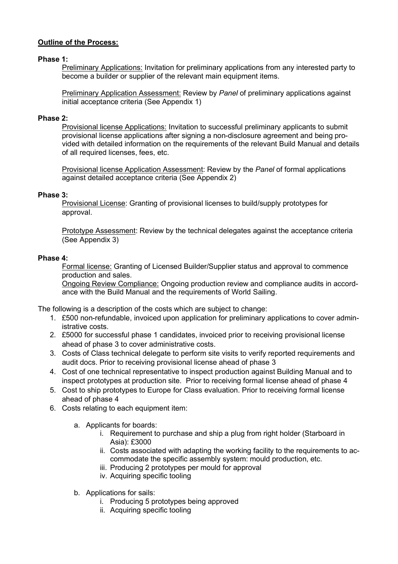### **Outline of the Process:**

#### **Phase 1:**

Preliminary Applications: Invitation for preliminary applications from any interested party to become a builder or supplier of the relevant main equipment items.

Preliminary Application Assessment: Review by *Panel* of preliminary applications against initial acceptance criteria (See Appendix 1)

#### **Phase 2:**

Provisional license Applications: Invitation to successful preliminary applicants to submit provisional license applications after signing a non-disclosure agreement and being provided with detailed information on the requirements of the relevant Build Manual and details of all required licenses, fees, etc.

Provisional license Application Assessment: Review by the *Panel* of formal applications against detailed acceptance criteria (See Appendix 2)

#### **Phase 3:**

Provisional License: Granting of provisional licenses to build/supply prototypes for approval.

Prototype Assessment: Review by the technical delegates against the acceptance criteria (See Appendix 3)

#### **Phase 4:**

Formal license: Granting of Licensed Builder/Supplier status and approval to commence production and sales.

Ongoing Review Compliance: Ongoing production review and compliance audits in accordance with the Build Manual and the requirements of World Sailing.

The following is a description of the costs which are subject to change:

- 1. £500 non-refundable, invoiced upon application for preliminary applications to cover administrative costs.
- 2. £5000 for successful phase 1 candidates, invoiced prior to receiving provisional license ahead of phase 3 to cover administrative costs.
- 3. Costs of Class technical delegate to perform site visits to verify reported requirements and audit docs. Prior to receiving provisional license ahead of phase 3
- 4. Cost of one technical representative to inspect production against Building Manual and to inspect prototypes at production site. Prior to receiving formal license ahead of phase 4
- 5. Cost to ship prototypes to Europe for Class evaluation. Prior to receiving formal license ahead of phase 4
- 6. Costs relating to each equipment item:
	- a. Applicants for boards:
		- i. Requirement to purchase and ship a plug from right holder (Starboard in Asia): £3000
		- ii. Costs associated with adapting the working facility to the requirements to accommodate the specific assembly system: mould production, etc.
		- iii. Producing 2 prototypes per mould for approval
		- iv. Acquiring specific tooling
	- b. Applications for sails:
		- i. Producing 5 prototypes being approved
		- ii. Acquiring specific tooling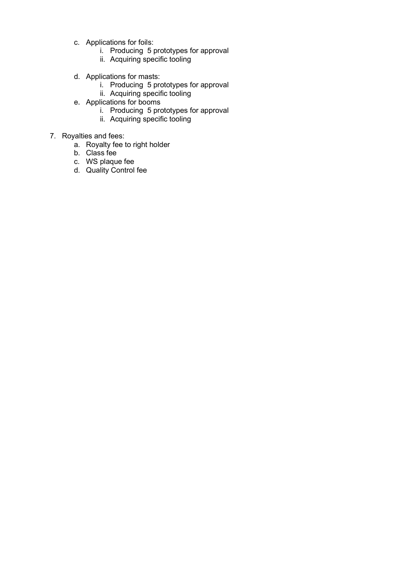- c. Applications for foils:
	- i. Producing 5 prototypes for approval
	- ii. Acquiring specific tooling
- d. Applications for masts:
	- i. Producing 5 prototypes for approval
	- ii. Acquiring specific tooling
- e. Applications for booms
	- i. Producing 5 prototypes for approval
	- ii. Acquiring specific tooling
- 7. Royalties and fees:
	- a. Royalty fee to right holder
	- b. Class fee
	- c. WS plaque fee
	- d. Quality Control fee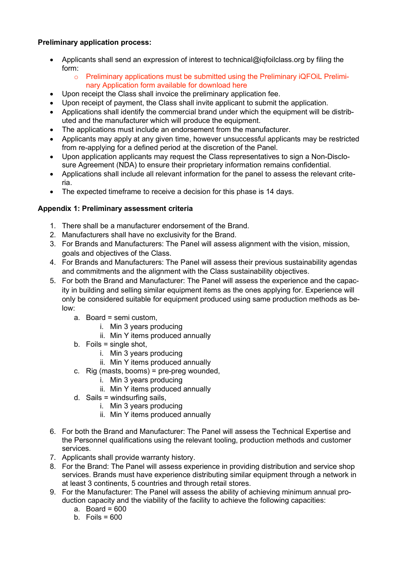# **Preliminary application process:**

- Applicants shall send an expression of interest to technical@iqfoilclass.org by filing the form:
	- o Preliminary applications must be submitted using the Preliminary iQFOiL Preliminary Application form available for download here
- Upon receipt the Class shall invoice the preliminary application fee.
- Upon receipt of payment, the Class shall invite applicant to submit the application.
- Applications shall identify the commercial brand under which the equipment will be distributed and the manufacturer which will produce the equipment.
- The applications must include an endorsement from the manufacturer.
- Applicants may apply at any given time, however unsuccessful applicants may be restricted from re-applying for a defined period at the discretion of the Panel.
- Upon application applicants may request the Class representatives to sign a Non-Disclosure Agreement (NDA) to ensure their proprietary information remains confidential.
- Applications shall include all relevant information for the panel to assess the relevant criteria.
- The expected timeframe to receive a decision for this phase is 14 days.

# **Appendix 1: Preliminary assessment criteria**

- 1. There shall be a manufacturer endorsement of the Brand.
- 2. Manufacturers shall have no exclusivity for the Brand.
- 3. For Brands and Manufacturers: The Panel will assess alignment with the vision, mission, goals and objectives of the Class.
- 4. For Brands and Manufacturers: The Panel will assess their previous sustainability agendas and commitments and the alignment with the Class sustainability objectives.
- 5. For both the Brand and Manufacturer: The Panel will assess the experience and the capacity in building and selling similar equipment items as the ones applying for. Experience will only be considered suitable for equipment produced using same production methods as below:
	- a. Board = semi custom,
		- i. Min 3 years producing
		- ii. Min Y items produced annually
	- b. Foils = single shot,
		- i. Min 3 years producing
		- ii. Min Y items produced annually
	- c. Rig (masts, booms) = pre-preg wounded,
		- i. Min 3 years producing
		- ii. Min Y items produced annually
	- d. Sails = windsurfing sails,
		- i. Min 3 years producing
		- ii. Min Y items produced annually
- 6. For both the Brand and Manufacturer: The Panel will assess the Technical Expertise and the Personnel qualifications using the relevant tooling, production methods and customer services.
- 7. Applicants shall provide warranty history.
- 8. For the Brand: The Panel will assess experience in providing distribution and service shop services. Brands must have experience distributing similar equipment through a network in at least 3 continents, 5 countries and through retail stores.
- 9. For the Manufacturer: The Panel will assess the ability of achieving minimum annual production capacity and the viability of the facility to achieve the following capacities:
	- a. Board =  $600$
	- b. Foils  $= 600$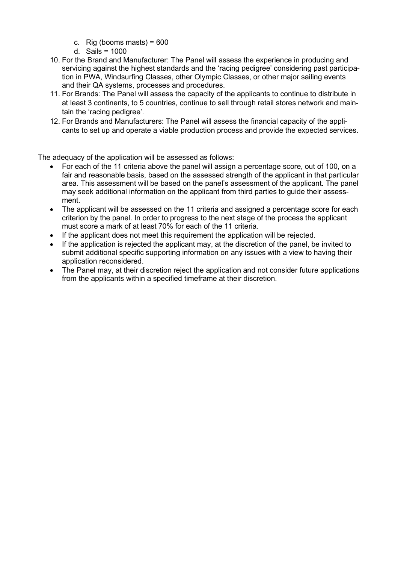- c. Rig (booms masts) =  $600$
- d. Sails = 1000
- 10. For the Brand and Manufacturer: The Panel will assess the experience in producing and servicing against the highest standards and the 'racing pedigree' considering past participation in PWA, Windsurfing Classes, other Olympic Classes, or other major sailing events and their QA systems, processes and procedures.
- 11. For Brands: The Panel will assess the capacity of the applicants to continue to distribute in at least 3 continents, to 5 countries, continue to sell through retail stores network and maintain the 'racing pedigree'.
- 12. For Brands and Manufacturers: The Panel will assess the financial capacity of the applicants to set up and operate a viable production process and provide the expected services.

The adequacy of the application will be assessed as follows:

- For each of the 11 criteria above the panel will assign a percentage score, out of 100, on a fair and reasonable basis, based on the assessed strength of the applicant in that particular area. This assessment will be based on the panel's assessment of the applicant. The panel may seek additional information on the applicant from third parties to guide their assessment.
- The applicant will be assessed on the 11 criteria and assigned a percentage score for each criterion by the panel. In order to progress to the next stage of the process the applicant must score a mark of at least 70% for each of the 11 criteria.
- If the applicant does not meet this requirement the application will be rejected.
- If the application is rejected the applicant may, at the discretion of the panel, be invited to submit additional specific supporting information on any issues with a view to having their application reconsidered.
- The Panel may, at their discretion reject the application and not consider future applications from the applicants within a specified timeframe at their discretion.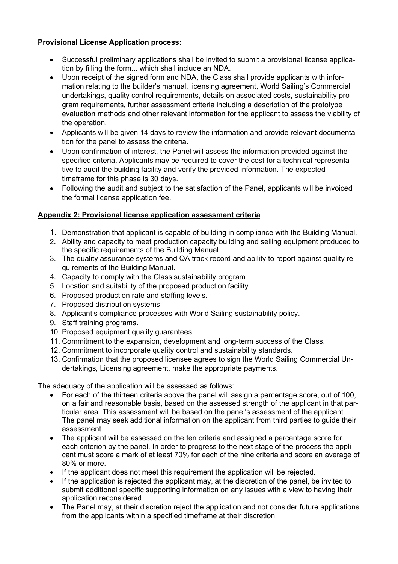# **Provisional License Application process:**

- Successful preliminary applications shall be invited to submit a provisional license application by filling the form... which shall include an NDA.
- Upon receipt of the signed form and NDA, the Class shall provide applicants with information relating to the builder's manual, licensing agreement, World Sailing's Commercial undertakings, quality control requirements, details on associated costs, sustainability program requirements, further assessment criteria including a description of the prototype evaluation methods and other relevant information for the applicant to assess the viability of the operation.
- Applicants will be given 14 days to review the information and provide relevant documentation for the panel to assess the criteria.
- Upon confirmation of interest, the Panel will assess the information provided against the specified criteria. Applicants may be required to cover the cost for a technical representative to audit the building facility and verify the provided information. The expected timeframe for this phase is 30 days.
- Following the audit and subject to the satisfaction of the Panel, applicants will be invoiced the formal license application fee.

# **Appendix 2: Provisional license application assessment criteria**

- 1. Demonstration that applicant is capable of building in compliance with the Building Manual.
- 2. Ability and capacity to meet production capacity building and selling equipment produced to the specific requirements of the Building Manual.
- 3. The quality assurance systems and QA track record and ability to report against quality requirements of the Building Manual.
- 4. Capacity to comply with the Class sustainability program.
- 5. Location and suitability of the proposed production facility.
- 6. Proposed production rate and staffing levels.
- 7. Proposed distribution systems.
- 8. Applicant's compliance processes with World Sailing sustainability policy.
- 9. Staff training programs.
- 10. Proposed equipment quality guarantees.
- 11. Commitment to the expansion, development and long-term success of the Class.
- 12. Commitment to incorporate quality control and sustainability standards.
- 13. Confirmation that the proposed licensee agrees to sign the World Sailing Commercial Undertakings, Licensing agreement, make the appropriate payments.

The adequacy of the application will be assessed as follows:

- For each of the thirteen criteria above the panel will assign a percentage score, out of 100, on a fair and reasonable basis, based on the assessed strength of the applicant in that particular area. This assessment will be based on the panel's assessment of the applicant. The panel may seek additional information on the applicant from third parties to guide their assessment.
- The applicant will be assessed on the ten criteria and assigned a percentage score for each criterion by the panel. In order to progress to the next stage of the process the applicant must score a mark of at least 70% for each of the nine criteria and score an average of 80% or more.
- If the applicant does not meet this requirement the application will be rejected.
- If the application is rejected the applicant may, at the discretion of the panel, be invited to submit additional specific supporting information on any issues with a view to having their application reconsidered.
- The Panel may, at their discretion reject the application and not consider future applications from the applicants within a specified timeframe at their discretion.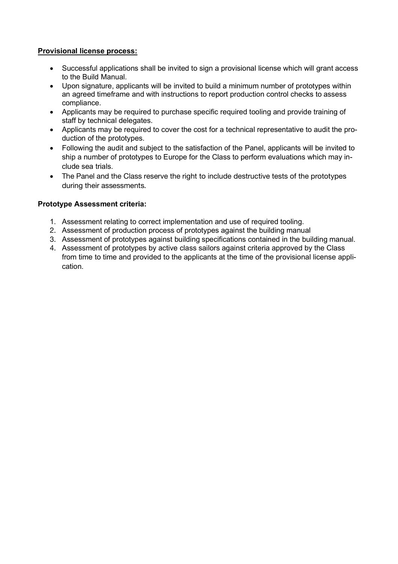### **Provisional license process:**

- Successful applications shall be invited to sign a provisional license which will grant access to the Build Manual.
- Upon signature, applicants will be invited to build a minimum number of prototypes within an agreed timeframe and with instructions to report production control checks to assess compliance.
- Applicants may be required to purchase specific required tooling and provide training of staff by technical delegates.
- Applicants may be required to cover the cost for a technical representative to audit the production of the prototypes.
- Following the audit and subject to the satisfaction of the Panel, applicants will be invited to ship a number of prototypes to Europe for the Class to perform evaluations which may include sea trials.
- The Panel and the Class reserve the right to include destructive tests of the prototypes during their assessments.

### **Prototype Assessment criteria:**

- 1. Assessment relating to correct implementation and use of required tooling.
- 2. Assessment of production process of prototypes against the building manual
- 3. Assessment of prototypes against building specifications contained in the building manual.
- 4. Assessment of prototypes by active class sailors against criteria approved by the Class from time to time and provided to the applicants at the time of the provisional license application.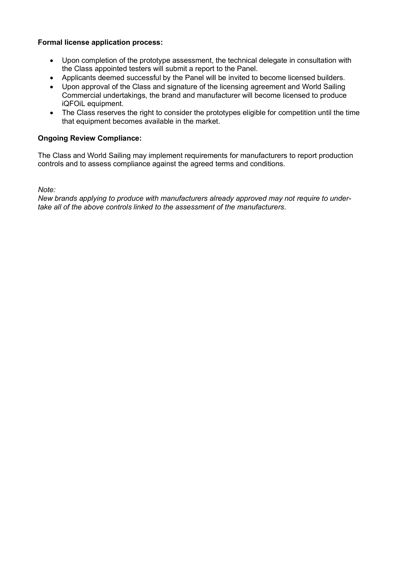### **Formal license application process:**

- Upon completion of the prototype assessment, the technical delegate in consultation with the Class appointed testers will submit a report to the Panel.
- Applicants deemed successful by the Panel will be invited to become licensed builders.
- Upon approval of the Class and signature of the licensing agreement and World Sailing Commercial undertakings, the brand and manufacturer will become licensed to produce iQFOiL equipment.
- The Class reserves the right to consider the prototypes eligible for competition until the time that equipment becomes available in the market.

### **Ongoing Review Compliance:**

The Class and World Sailing may implement requirements for manufacturers to report production controls and to assess compliance against the agreed terms and conditions.

*Note:*

*New brands applying to produce with manufacturers already approved may not require to undertake all of the above controls linked to the assessment of the manufacturers.*